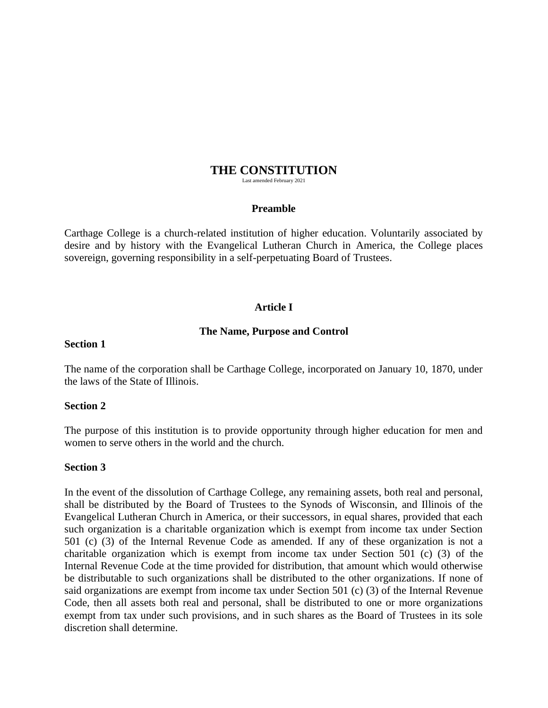# **THE CONSTITUTION**

Last amended February 2021

#### **Preamble**

Carthage College is a church-related institution of higher education. Voluntarily associated by desire and by history with the Evangelical Lutheran Church in America, the College places sovereign, governing responsibility in a self-perpetuating Board of Trustees.

## **Article I**

#### **The Name, Purpose and Control**

#### **Section 1**

The name of the corporation shall be Carthage College, incorporated on January 10, 1870, under the laws of the State of Illinois.

#### **Section 2**

The purpose of this institution is to provide opportunity through higher education for men and women to serve others in the world and the church.

#### **Section 3**

In the event of the dissolution of Carthage College, any remaining assets, both real and personal, shall be distributed by the Board of Trustees to the Synods of Wisconsin, and Illinois of the Evangelical Lutheran Church in America, or their successors, in equal shares, provided that each such organization is a charitable organization which is exempt from income tax under Section 501 (c) (3) of the Internal Revenue Code as amended. If any of these organization is not a charitable organization which is exempt from income tax under Section 501 (c) (3) of the Internal Revenue Code at the time provided for distribution, that amount which would otherwise be distributable to such organizations shall be distributed to the other organizations. If none of said organizations are exempt from income tax under Section 501 (c) (3) of the Internal Revenue Code, then all assets both real and personal, shall be distributed to one or more organizations exempt from tax under such provisions, and in such shares as the Board of Trustees in its sole discretion shall determine.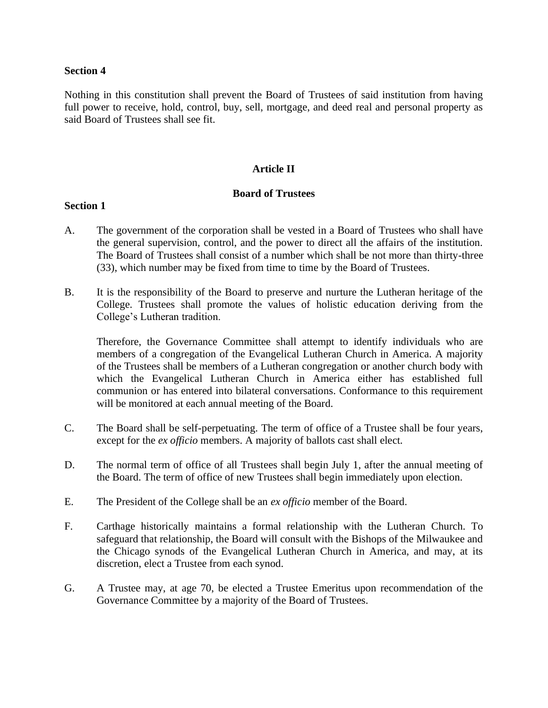#### **Section 4**

Nothing in this constitution shall prevent the Board of Trustees of said institution from having full power to receive, hold, control, buy, sell, mortgage, and deed real and personal property as said Board of Trustees shall see fit.

## **Article II**

## **Board of Trustees**

#### **Section 1**

- A. The government of the corporation shall be vested in a Board of Trustees who shall have the general supervision, control, and the power to direct all the affairs of the institution. The Board of Trustees shall consist of a number which shall be not more than thirty-three (33), which number may be fixed from time to time by the Board of Trustees.
- B. It is the responsibility of the Board to preserve and nurture the Lutheran heritage of the College. Trustees shall promote the values of holistic education deriving from the College's Lutheran tradition.

Therefore, the Governance Committee shall attempt to identify individuals who are members of a congregation of the Evangelical Lutheran Church in America. A majority of the Trustees shall be members of a Lutheran congregation or another church body with which the Evangelical Lutheran Church in America either has established full communion or has entered into bilateral conversations. Conformance to this requirement will be monitored at each annual meeting of the Board.

- C. The Board shall be self-perpetuating. The term of office of a Trustee shall be four years, except for the *ex officio* members. A majority of ballots cast shall elect.
- D. The normal term of office of all Trustees shall begin July 1, after the annual meeting of the Board. The term of office of new Trustees shall begin immediately upon election.
- E. The President of the College shall be an *ex officio* member of the Board.
- F. Carthage historically maintains a formal relationship with the Lutheran Church. To safeguard that relationship, the Board will consult with the Bishops of the Milwaukee and the Chicago synods of the Evangelical Lutheran Church in America, and may, at its discretion, elect a Trustee from each synod.
- G. A Trustee may, at age 70, be elected a Trustee Emeritus upon recommendation of the Governance Committee by a majority of the Board of Trustees.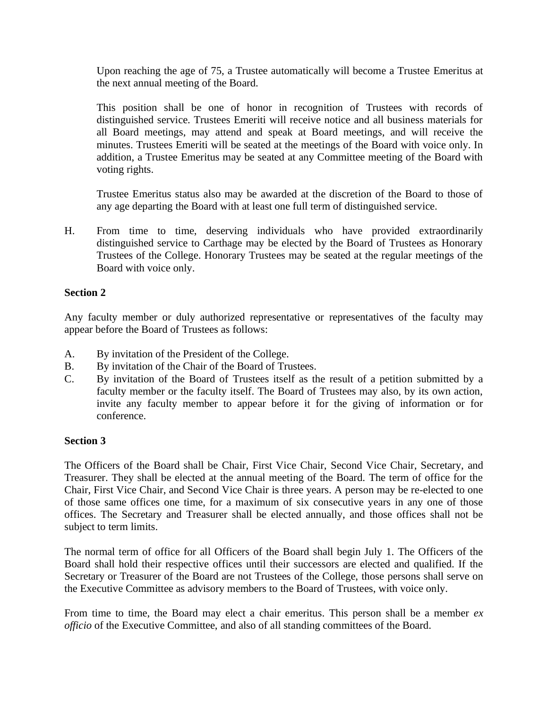Upon reaching the age of 75, a Trustee automatically will become a Trustee Emeritus at the next annual meeting of the Board.

This position shall be one of honor in recognition of Trustees with records of distinguished service. Trustees Emeriti will receive notice and all business materials for all Board meetings, may attend and speak at Board meetings, and will receive the minutes. Trustees Emeriti will be seated at the meetings of the Board with voice only. In addition, a Trustee Emeritus may be seated at any Committee meeting of the Board with voting rights.

Trustee Emeritus status also may be awarded at the discretion of the Board to those of any age departing the Board with at least one full term of distinguished service.

H. From time to time, deserving individuals who have provided extraordinarily distinguished service to Carthage may be elected by the Board of Trustees as Honorary Trustees of the College. Honorary Trustees may be seated at the regular meetings of the Board with voice only.

# **Section 2**

Any faculty member or duly authorized representative or representatives of the faculty may appear before the Board of Trustees as follows:

- A. By invitation of the President of the College.
- B. By invitation of the Chair of the Board of Trustees.
- C. By invitation of the Board of Trustees itself as the result of a petition submitted by a faculty member or the faculty itself. The Board of Trustees may also, by its own action, invite any faculty member to appear before it for the giving of information or for conference.

## **Section 3**

The Officers of the Board shall be Chair, First Vice Chair, Second Vice Chair, Secretary, and Treasurer. They shall be elected at the annual meeting of the Board. The term of office for the Chair, First Vice Chair, and Second Vice Chair is three years. A person may be re-elected to one of those same offices one time, for a maximum of six consecutive years in any one of those offices. The Secretary and Treasurer shall be elected annually, and those offices shall not be subject to term limits.

The normal term of office for all Officers of the Board shall begin July 1. The Officers of the Board shall hold their respective offices until their successors are elected and qualified. If the Secretary or Treasurer of the Board are not Trustees of the College, those persons shall serve on the Executive Committee as advisory members to the Board of Trustees, with voice only.

From time to time, the Board may elect a chair emeritus. This person shall be a member *ex officio* of the Executive Committee, and also of all standing committees of the Board.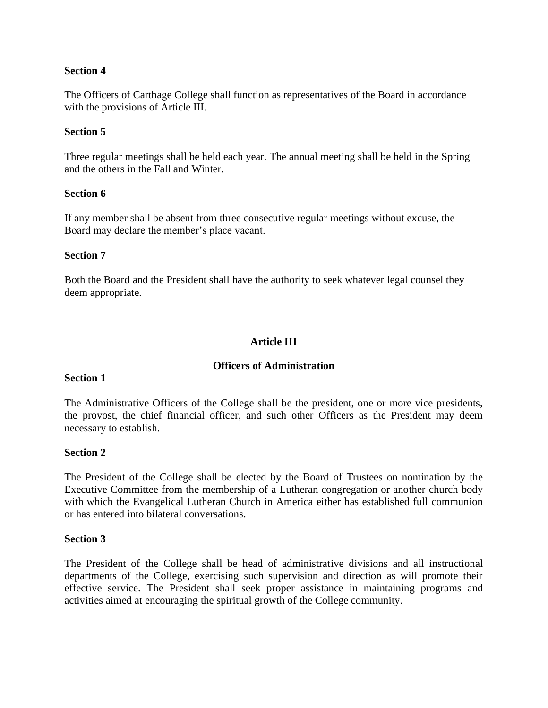## **Section 4**

The Officers of Carthage College shall function as representatives of the Board in accordance with the provisions of Article III.

## **Section 5**

Three regular meetings shall be held each year. The annual meeting shall be held in the Spring and the others in the Fall and Winter.

## **Section 6**

If any member shall be absent from three consecutive regular meetings without excuse, the Board may declare the member's place vacant.

## **Section 7**

Both the Board and the President shall have the authority to seek whatever legal counsel they deem appropriate.

# **Article III**

# **Officers of Administration**

## **Section 1**

The Administrative Officers of the College shall be the president, one or more vice presidents, the provost, the chief financial officer, and such other Officers as the President may deem necessary to establish.

## **Section 2**

The President of the College shall be elected by the Board of Trustees on nomination by the Executive Committee from the membership of a Lutheran congregation or another church body with which the Evangelical Lutheran Church in America either has established full communion or has entered into bilateral conversations.

## **Section 3**

The President of the College shall be head of administrative divisions and all instructional departments of the College, exercising such supervision and direction as will promote their effective service. The President shall seek proper assistance in maintaining programs and activities aimed at encouraging the spiritual growth of the College community.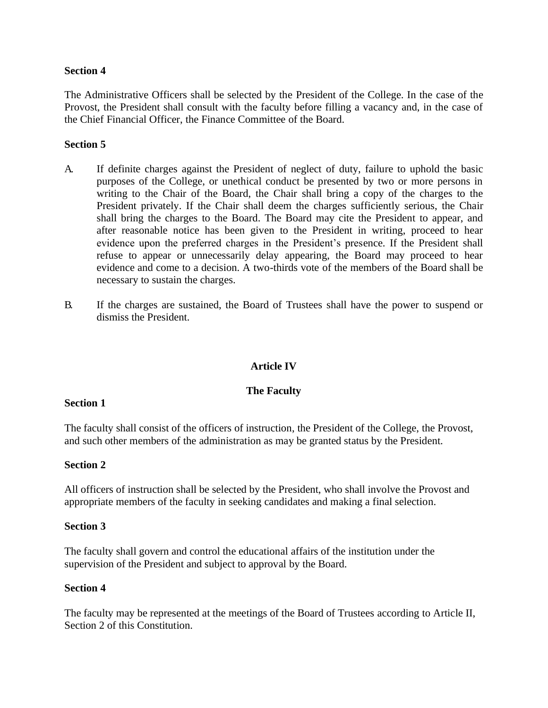## **Section 4**

The Administrative Officers shall be selected by the President of the College. In the case of the Provost, the President shall consult with the faculty before filling a vacancy and, in the case of the Chief Financial Officer, the Finance Committee of the Board.

## **Section 5**

- A. If definite charges against the President of neglect of duty, failure to uphold the basic purposes of the College, or unethical conduct be presented by two or more persons in writing to the Chair of the Board, the Chair shall bring a copy of the charges to the President privately. If the Chair shall deem the charges sufficiently serious, the Chair shall bring the charges to the Board. The Board may cite the President to appear, and after reasonable notice has been given to the President in writing, proceed to hear evidence upon the preferred charges in the President's presence. If the President shall refuse to appear or unnecessarily delay appearing, the Board may proceed to hear evidence and come to a decision. A two-thirds vote of the members of the Board shall be necessary to sustain the charges.
- B. If the charges are sustained, the Board of Trustees shall have the power to suspend or dismiss the President.

# **Article IV**

## **The Faculty**

## **Section 1**

The faculty shall consist of the officers of instruction, the President of the College, the Provost, and such other members of the administration as may be granted status by the President.

## **Section 2**

All officers of instruction shall be selected by the President, who shall involve the Provost and appropriate members of the faculty in seeking candidates and making a final selection.

#### **Section 3**

The faculty shall govern and control the educational affairs of the institution under the supervision of the President and subject to approval by the Board.

#### **Section 4**

The faculty may be represented at the meetings of the Board of Trustees according to Article II, Section 2 of this Constitution.